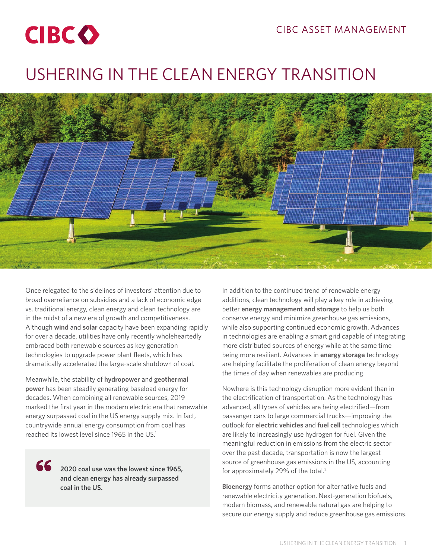

# USHERING IN THE CLEAN ENERGY TRANSITION



Once relegated to the sidelines of investors' attention due to broad overreliance on subsidies and a lack of economic edge vs. traditional energy, clean energy and clean technology are in the midst of a new era of growth and competitiveness. Although **wind** and **solar** capacity have been expanding rapidly for over a decade, utilities have only recently wholeheartedly embraced both renewable sources as key generation technologies to upgrade power plant fleets, which has dramatically accelerated the large-scale shutdown of coal.

Meanwhile, the stability of **hydropower** and **geothermal power** has been steadily generating baseload energy for decades. When combining all renewable sources, 2019 marked the first year in the modern electric era that renewable energy surpassed coal in the US energy supply mix. In fact, countrywide annual energy consumption from coal has reached its lowest level since 1965 in the US.<sup>1</sup>

66

**2020 coal use was the lowest since 1965, and clean energy has already surpassed coal in the US.**

In addition to the continued trend of renewable energy additions, clean technology will play a key role in achieving better **energy management and storage** to help us both conserve energy and minimize greenhouse gas emissions, while also supporting continued economic growth. Advances in technologies are enabling a smart grid capable of integrating more distributed sources of energy while at the same time being more resilient. Advances in **energy storage** technology are helping facilitate the proliferation of clean energy beyond the times of day when renewables are producing.

Nowhere is this technology disruption more evident than in the electrification of transportation. As the technology has advanced, all types of vehicles are being electrified—from passenger cars to large commercial trucks—improving the outlook for **electric vehicles** and **fuel cell** technologies which are likely to increasingly use hydrogen for fuel. Given the meaningful reduction in emissions from the electric sector over the past decade, transportation is now the largest source of greenhouse gas emissions in the US, accounting for approximately 29% of the total.<sup>2</sup>

**Bioenergy** forms another option for alternative fuels and renewable electricity generation. Next-generation biofuels, modern biomass, and renewable natural gas are helping to secure our energy supply and reduce greenhouse gas emissions.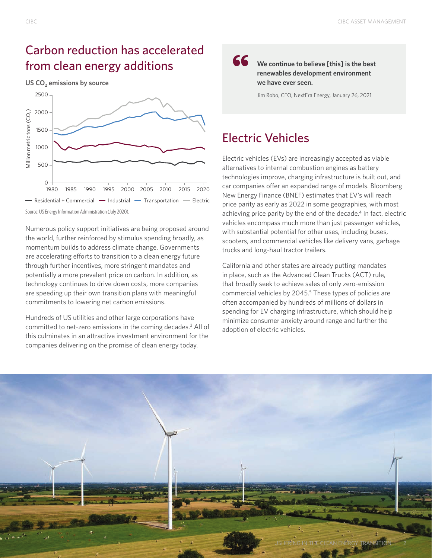### Carbon reduction has accelerated from clean energy additions

**US CO<sub>2</sub>** emissions by source



Source: US Energy Information Administration (July 2020).

Numerous policy support initiatives are being proposed around the world, further reinforced by stimulus spending broadly, as momentum builds to address climate change. Governments are accelerating efforts to transition to a clean energy future through further incentives, more stringent mandates and potentially a more prevalent price on carbon. In addition, as technology continues to drive down costs, more companies are speeding up their own transition plans with meaningful commitments to lowering net carbon emissions.

Hundreds of US utilities and other large corporations have committed to net-zero emissions in the coming decades.<sup>3</sup> All of this culminates in an attractive investment environment for the companies delivering on the promise of clean energy today.

66

**We continue to believe [this] is the best renewables development environment we have ever seen.**

Jim Robo, CEO, NextEra Energy, January 26, 2021

### Electric Vehicles

Electric vehicles (EVs) are increasingly accepted as viable alternatives to internal combustion engines as battery technologies improve, charging infrastructure is built out, and car companies offer an expanded range of models. Bloomberg New Energy Finance (BNEF) estimates that EV's will reach price parity as early as 2022 in some geographies, with most achieving price parity by the end of the decade.<sup>4</sup> In fact, electric vehicles encompass much more than just passenger vehicles, with substantial potential for other uses, including buses, scooters, and commercial vehicles like delivery vans, garbage trucks and long-haul tractor trailers.

California and other states are already putting mandates in place, such as the Advanced Clean Trucks (ACT) rule, that broadly seek to achieve sales of only zero-emission commercial vehicles by 2045.<sup>5</sup> These types of policies are often accompanied by hundreds of millions of dollars in spending for EV charging infrastructure, which should help minimize consumer anxiety around range and further the adoption of electric vehicles.

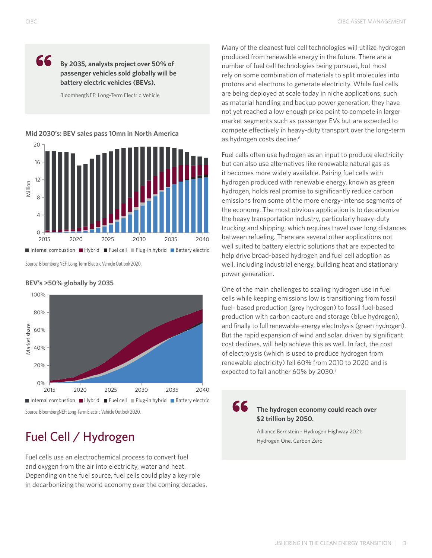66

### **By 2035, analysts project over 50% of passenger vehicles sold globally will be battery electric vehicles (BEVs).**

BloombergNEF: Long-Term Electric Vehicle

#### **Mid 2030's: BEV sales pass 10mn in North America**



Source: Bloomberg NEF: Long-Term Electric Vehicle Outlook 2020.

**BEV's >50% globally by 2035**

### 100% 80% Market share Market share 60% 40% 20% 0% 2015 2020 2025 2030 2035 2040 ■ Internal combustion ■ Hybrid ■ Fuel cell ■ Plug-in hybrid ■ Battery electric

Source: BloombergNEF: Long-Term Electric Vehicle Outlook 2020.

# Fuel Cell / Hydrogen

Fuel cells use an electrochemical process to convert fuel and oxygen from the air into electricity, water and heat. Depending on the fuel source, fuel cells could play a key role in decarbonizing the world economy over the coming decades. Many of the cleanest fuel cell technologies will utilize hydrogen produced from renewable energy in the future. There are a number of fuel cell technologies being pursued, but most rely on some combination of materials to split molecules into protons and electrons to generate electricity. While fuel cells are being deployed at scale today in niche applications, such as material handling and backup power generation, they have not yet reached a low enough price point to compete in larger market segments such as passenger EVs but are expected to compete effectively in heavy-duty transport over the long-term as hydrogen costs decline.<sup>6</sup>

Fuel cells often use hydrogen as an input to produce electricity but can also use alternatives like renewable natural gas as it becomes more widely available. Pairing fuel cells with hydrogen produced with renewable energy, known as green hydrogen, holds real promise to significantly reduce carbon emissions from some of the more energy-intense segments of the economy. The most obvious application is to decarbonize the heavy transportation industry, particularly heavy-duty trucking and shipping, which requires travel over long distances between refueling. There are several other applications not well suited to battery electric solutions that are expected to help drive broad-based hydrogen and fuel cell adoption as well, including industrial energy, building heat and stationary power generation.

One of the main challenges to scaling hydrogen use in fuel cells while keeping emissions low is transitioning from fossil fuel- based production (grey hydrogen) to fossil fuel-based production with carbon capture and storage (blue hydrogen), and finally to full renewable-energy electrolysis (green hydrogen). But the rapid expansion of wind and solar, driven by significant cost declines, will help achieve this as well. In fact, the cost of electrolysis (which is used to produce hydrogen from renewable electricity) fell 60% from 2010 to 2020 and is expected to fall another 60% by 2030.7

### **The hydrogen economy could reach over \$2 trillion by 2050.**

66

Alliance Bernstein - Hydrogen Highway 2021: Hydrogen One, Carbon Zero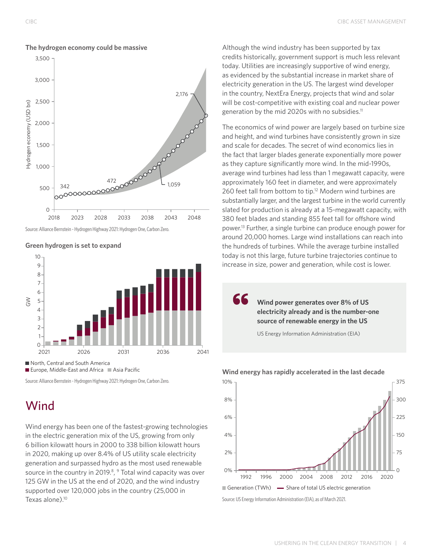

#### **The hydrogen economy could be massive**

Source: Alliance Bernstein - Hydrogen Highway 2021: Hydrogen One, Carbon Zero.





Europe, Middle-East and Africa  $\blacksquare$  Asia Pacific

Source: Alliance Bernstein - Hydrogen Highway 2021: Hydrogen One, Carbon Zero.

## **Wind**

Wind energy has been one of the fastest-growing technologies in the electric generation mix of the US, growing from only 6 billion kilowatt hours in 2000 to 338 billion kilowatt hours in 2020, making up over 8.4% of US utility scale electricity generation and surpassed hydro as the most used renewable source in the country in 2019.<sup>8</sup>, <sup>9</sup> Total wind capacity was over 125 GW in the US at the end of 2020, and the wind industry supported over 120,000 jobs in the country (25,000 in Texas alone).<sup>10</sup>

Although the wind industry has been supported by tax credits historically, government support is much less relevant today. Utilities are increasingly supportive of wind energy, as evidenced by the substantial increase in market share of electricity generation in the US. The largest wind developer in the country, NextEra Energy, projects that wind and solar will be cost-competitive with existing coal and nuclear power generation by the mid 2020s with no subsidies.<sup>11</sup>

The economics of wind power are largely based on turbine size and height, and wind turbines have consistently grown in size and scale for decades. The secret of wind economics lies in the fact that larger blades generate exponentially more power as they capture significantly more wind. In the mid-1990s, average wind turbines had less than 1 megawatt capacity, were approximately 160 feet in diameter, and were approximately 260 feet tall from bottom to tip.<sup>12</sup> Modern wind turbines are substantially larger, and the largest turbine in the world currently slated for production is already at a 15-megawatt capacity, with 380 feet blades and standing 855 feet tall for offshore wind power.13 Further, a single turbine can produce enough power for around 20,000 homes. Large wind installations can reach into the hundreds of turbines. While the average turbine installed today is not this large, future turbine trajectories continue to increase in size, power and generation, while cost is lower.

> **Wind power generates over 8% of US electricity already and is the number-one source of renewable energy in the US**

US Energy Information Administration (EIA)

66



#### **Wind energy has rapidly accelerated in the last decade**

Source: US Energy Information Administration (EIA), as of March 2021.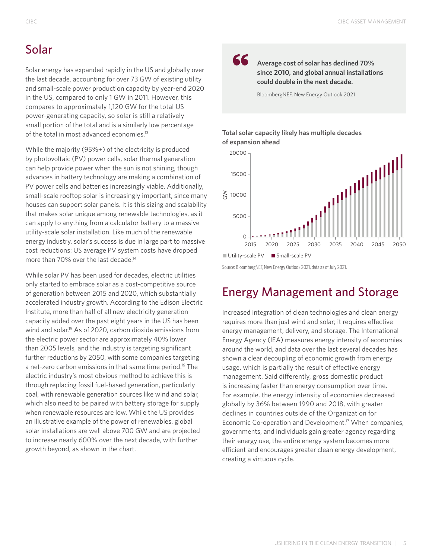### Solar

Solar energy has expanded rapidly in the US and globally over the last decade, accounting for over 73 GW of existing utility and small-scale power production capacity by year-end 2020 in the US, compared to only 1 GW in 2011. However, this compares to approximately 1,120 GW for the total US power-generating capacity, so solar is still a relatively small portion of the total and is a similarly low percentage of the total in most advanced economies.13

While the majority (95%+) of the electricity is produced by photovoltaic (PV) power cells, solar thermal generation can help provide power when the sun is not shining, though advances in battery technology are making a combination of PV power cells and batteries increasingly viable. Additionally, small-scale rooftop solar is increasingly important, since many houses can support solar panels. It is this sizing and scalability that makes solar unique among renewable technologies, as it can apply to anything from a calculator battery to a massive utility-scale solar installation. Like much of the renewable energy industry, solar's success is due in large part to massive cost reductions: US average PV system costs have dropped more than 70% over the last decade.<sup>14</sup>

While solar PV has been used for decades, electric utilities only started to embrace solar as a cost-competitive source of generation between 2015 and 2020, which substantially accelerated industry growth. According to the Edison Electric Institute, more than half of all new electricity generation capacity added over the past eight years in the US has been wind and solar.<sup>15</sup> As of 2020, carbon dioxide emissions from the electric power sector are approximately 40% lower than 2005 levels, and the industry is targeting significant further reductions by 2050, with some companies targeting a net-zero carbon emissions in that same time period.<sup>16</sup> The electric industry's most obvious method to achieve this is through replacing fossil fuel-based generation, particularly coal, with renewable generation sources like wind and solar, which also need to be paired with battery storage for supply when renewable resources are low. While the US provides an illustrative example of the power of renewables, global solar installations are well above 700 GW and are projected to increase nearly 600% over the next decade, with further growth beyond, as shown in the chart.

### 66

**Average cost of solar has declined 70% since 2010, and global annual installations could double in the next decade.**

BloombergNEF, New Energy Outlook 2021

#### **Total solar capacity likely has multiple decades of expansion ahead**



Source: BloombergNEF, New Energy Outlook 2021, data as of July 2021.

### Energy Management and Storage

Increased integration of clean technologies and clean energy requires more than just wind and solar; it requires effective energy management, delivery, and storage. The International Energy Agency (IEA) measures energy intensity of economies around the world, and data over the last several decades has shown a clear decoupling of economic growth from energy usage, which is partially the result of effective energy management. Said differently, gross domestic product is increasing faster than energy consumption over time. For example, the energy intensity of economies decreased globally by 36% between 1990 and 2018, with greater declines in countries outside of the Organization for Economic Co-operation and Development.<sup>17</sup> When companies, governments, and individuals gain greater agency regarding their energy use, the entire energy system becomes more efficient and encourages greater clean energy development, creating a virtuous cycle.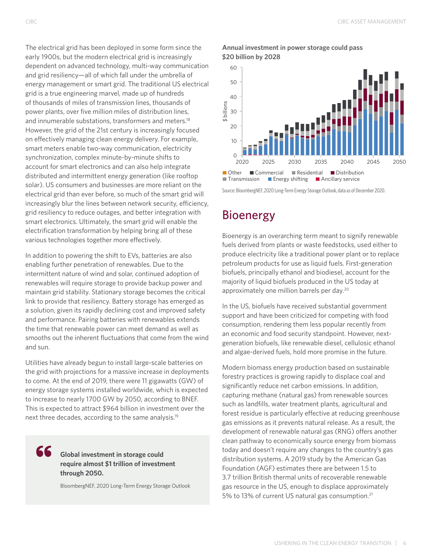The electrical grid has been deployed in some form since the early 1900s, but the modern electrical grid is increasingly dependent on advanced technology, multi-way communication and grid resiliency—all of which fall under the umbrella of energy management or smart grid. The traditional US electrical grid is a true engineering marvel, made up of hundreds of thousands of miles of transmission lines, thousands of power plants, over five million miles of distribution lines, and innumerable substations, transformers and meters.<sup>18</sup> However, the grid of the 21st century is increasingly focused on effectively managing clean energy delivery. For example, smart meters enable two-way communication, electricity synchronization, complex minute-by-minute shifts to account for smart electronics and can also help integrate distributed and intermittent energy generation (like rooftop solar). US consumers and businesses are more reliant on the electrical grid than ever before, so much of the smart grid will increasingly blur the lines between network security, efficiency, grid resiliency to reduce outages, and better integration with smart electronics. Ultimately, the smart grid will enable the electrification transformation by helping bring all of these various technologies together more effectively.

In addition to powering the shift to EVs, batteries are also enabling further penetration of renewables. Due to the intermittent nature of wind and solar, continued adoption of renewables will require storage to provide backup power and maintain grid stability. Stationary storage becomes the critical link to provide that resiliency. Battery storage has emerged as a solution, given its rapidly declining cost and improved safety and performance. Pairing batteries with renewables extends the time that renewable power can meet demand as well as smooths out the inherent fluctuations that come from the wind and sun.

Utilities have already begun to install large-scale batteries on the grid with projections for a massive increase in deployments to come. At the end of 2019, there were 11 gigawatts (GW) of energy storage systems installed worldwide, which is expected to increase to nearly 1700 GW by 2050, according to BNEF. This is expected to attract \$964 billion in investment over the next three decades, according to the same analysis.19

#### 66 **Global investment in storage could require almost \$1 trillion of investment through 2050.**

BloombergNEF, 2020 Long-Term Energy Storage Outlook

#### **Annual investment in power storage could pass \$20 billion by 2028**



Source: BloombergNEF, 2020 Long-Term Energy Storage Outlook, data as of December 2020.

### Bioenergy

Bioenergy is an overarching term meant to signify renewable fuels derived from plants or waste feedstocks, used either to produce electricity like a traditional power plant or to replace petroleum products for use as liquid fuels. First-generation biofuels, principally ethanol and biodiesel, account for the majority of liquid biofuels produced in the US today at approximately one million barrels per day.20

In the US, biofuels have received substantial government support and have been criticized for competing with food consumption, rendering them less popular recently from an economic and food security standpoint. However, nextgeneration biofuels, like renewable diesel, cellulosic ethanol and algae-derived fuels, hold more promise in the future.

Modern biomass energy production based on sustainable forestry practices is growing rapidly to displace coal and significantly reduce net carbon emissions. In addition, capturing methane (natural gas) from renewable sources such as landfills, water treatment plants, agricultural and forest residue is particularly effective at reducing greenhouse gas emissions as it prevents natural release. As a result, the development of renewable natural gas (RNG) offers another clean pathway to economically source energy from biomass today and doesn't require any changes to the country's gas distribution systems. A 2019 study by the American Gas Foundation (AGF) estimates there are between 1.5 to 3.7 trillion British thermal units of recoverable renewable gas resource in the US, enough to displace approximately 5% to 13% of current US natural gas consumption.<sup>21</sup>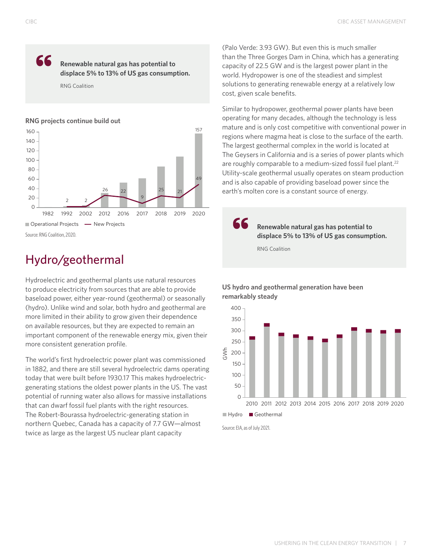### 66 **Renewable natural gas has potential to displace 5% to 13% of US gas consumption.**

RNG Coalition

#### **RNG projects continue build out**



### Hydro/geothermal

Hydroelectric and geothermal plants use natural resources to produce electricity from sources that are able to provide baseload power, either year-round (geothermal) or seasonally (hydro). Unlike wind and solar, both hydro and geothermal are more limited in their ability to grow given their dependence on available resources, but they are expected to remain an important component of the renewable energy mix, given their more consistent generation profile.

The world's first hydroelectric power plant was commissioned in 1882, and there are still several hydroelectric dams operating today that were built before 1930.17 This makes hydroelectricgenerating stations the oldest power plants in the US. The vast potential of running water also allows for massive installations that can dwarf fossil fuel plants with the right resources. The Robert-Bourassa hydroelectric-generating station in northern Quebec, Canada has a capacity of 7.7 GW—almost twice as large as the largest US nuclear plant capacity

(Palo Verde: 3.93 GW). But even this is much smaller than the Three Gorges Dam in China, which has a generating capacity of 22.5 GW and is the largest power plant in the world. Hydropower is one of the steadiest and simplest solutions to generating renewable energy at a relatively low cost, given scale benefits.

Similar to hydropower, geothermal power plants have been operating for many decades, although the technology is less mature and is only cost competitive with conventional power in regions where magma heat is close to the surface of the earth. The largest geothermal complex in the world is located at The Geysers in California and is a series of power plants which are roughly comparable to a medium-sized fossil fuel plant.<sup>22</sup> Utility-scale geothermal usually operates on steam production and is also capable of providing baseload power since the earth's molten core is a constant source of energy.

66 **Renewable natural gas has potential to displace 5% to 13% of US gas consumption.**

RNG Coalition

### **US hydro and geothermal generation have been remarkably steady**



Source: EIA, as of July 2021.